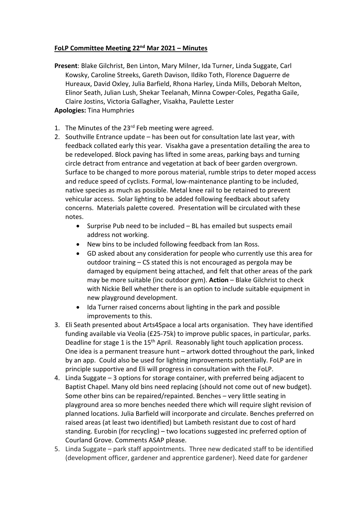## **FoLP Committee Meeting 22nd Mar 2021 – Minutes**

- **Present**: Blake Gilchrist, Ben Linton, Mary Milner, Ida Turner, Linda Suggate, Carl Kowsky, Caroline Streeks, Gareth Davison, Ildiko Toth, Florence Daguerre de Hureaux, David Oxley, Julia Barfield, Rhona Harley, Linda Mills, Deborah Melton, Elinor Seath, Julian Lush, Shekar Teelanah, Minna Cowper-Coles, Pegatha Gaile, Claire Jostins, Victoria Gallagher, Visakha, Paulette Lester **Apologies:** Tina Humphries
- 1. The Minutes of the 23<sup>rd</sup> Feb meeting were agreed.
- 2. Southville Entrance update has been out for consultation late last year, with feedback collated early this year. Visakha gave a presentation detailing the area to be redeveloped. Block paving has lifted in some areas, parking bays and turning circle detract from entrance and vegetation at back of beer garden overgrown. Surface to be changed to more porous material, rumble strips to deter moped access and reduce speed of cyclists. Formal, low-maintenance planting to be included, native species as much as possible. Metal knee rail to be retained to prevent vehicular access. Solar lighting to be added following feedback about safety concerns. Materials palette covered. Presentation will be circulated with these notes.
	- Surprise Pub need to be included BL has emailed but suspects email address not working.
	- New bins to be included following feedback from Ian Ross.
	- GD asked about any consideration for people who currently use this area for outdoor training – CS stated this is not encouraged as pergola may be damaged by equipment being attached, and felt that other areas of the park may be more suitable (inc outdoor gym). **Action** – Blake Gilchrist to check with Nickie Bell whether there is an option to include suitable equipment in new playground development.
	- Ida Turner raised concerns about lighting in the park and possible improvements to this.
- 3. Eli Seath presented about Arts4Space a local arts organisation. They have identified funding available via Veolia (£25-75k) to improve public spaces, in particular, parks. Deadline for stage 1 is the 15<sup>th</sup> April. Reasonably light touch application process. One idea is a permanent treasure hunt – artwork dotted throughout the park, linked by an app. Could also be used for lighting improvements potentially. FoLP are in principle supportive and Eli will progress in consultation with the FoLP.
- 4. Linda Suggate 3 options for storage container, with preferred being adjacent to Baptist Chapel. Many old bins need replacing (should not come out of new budget). Some other bins can be repaired/repainted. Benches – very little seating in playground area so more benches needed there which will require slight revision of planned locations. Julia Barfield will incorporate and circulate. Benches preferred on raised areas (at least two identified) but Lambeth resistant due to cost of hard standing. Eurobin (for recycling) – two locations suggested inc preferred option of Courland Grove. Comments ASAP please.
- 5. Linda Suggate park staff appointments. Three new dedicated staff to be identified (development officer, gardener and apprentice gardener). Need date for gardener